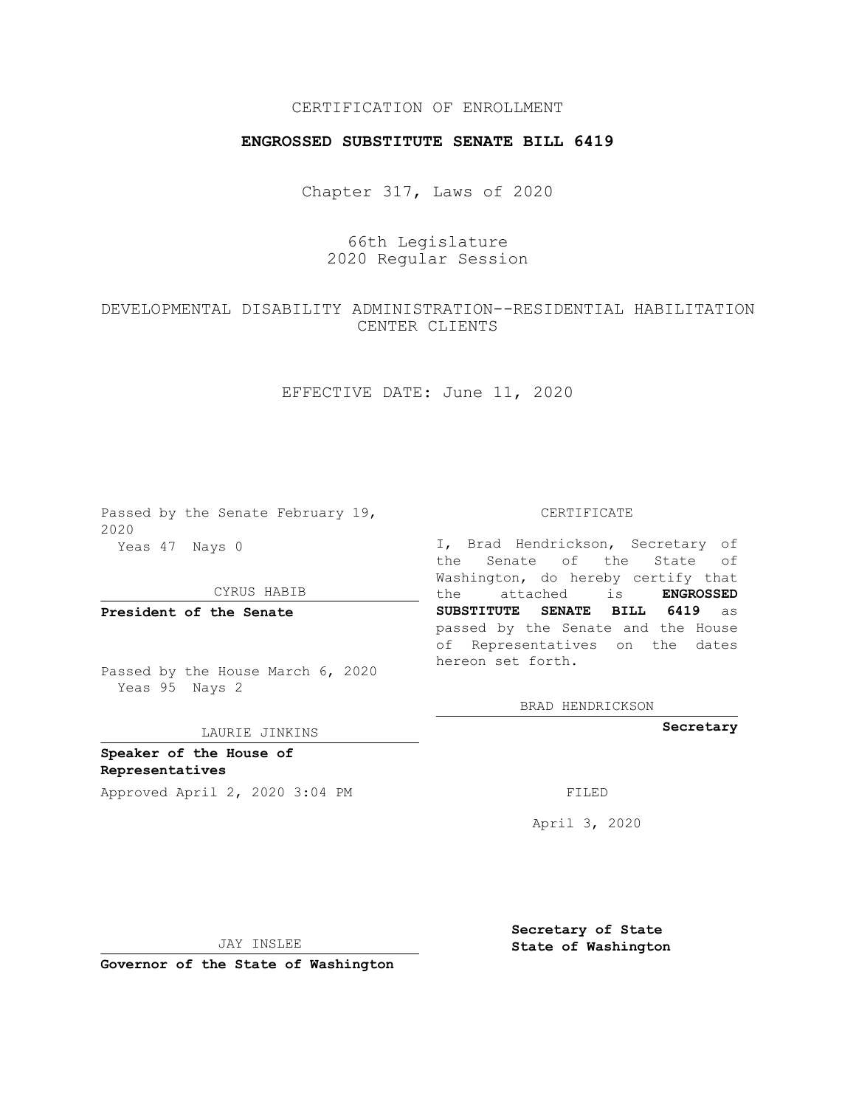## CERTIFICATION OF ENROLLMENT

### **ENGROSSED SUBSTITUTE SENATE BILL 6419**

Chapter 317, Laws of 2020

# 66th Legislature 2020 Regular Session

## DEVELOPMENTAL DISABILITY ADMINISTRATION--RESIDENTIAL HABILITATION CENTER CLIENTS

## EFFECTIVE DATE: June 11, 2020

Passed by the Senate February 19, 2020 Yeas 47 Nays 0

CYRUS HABIB

**President of the Senate**

Passed by the House March 6, 2020 Yeas 95 Nays 2

#### LAURIE JINKINS

**Speaker of the House of Representatives**

Approved April 2, 2020 3:04 PM FILED

CERTIFICATE

I, Brad Hendrickson, Secretary of the Senate of the State of Washington, do hereby certify that the attached is **ENGROSSED SUBSTITUTE SENATE BILL 6419** as passed by the Senate and the House of Representatives on the dates hereon set forth.

BRAD HENDRICKSON

**Secretary**

April 3, 2020

JAY INSLEE

**Governor of the State of Washington**

**Secretary of State State of Washington**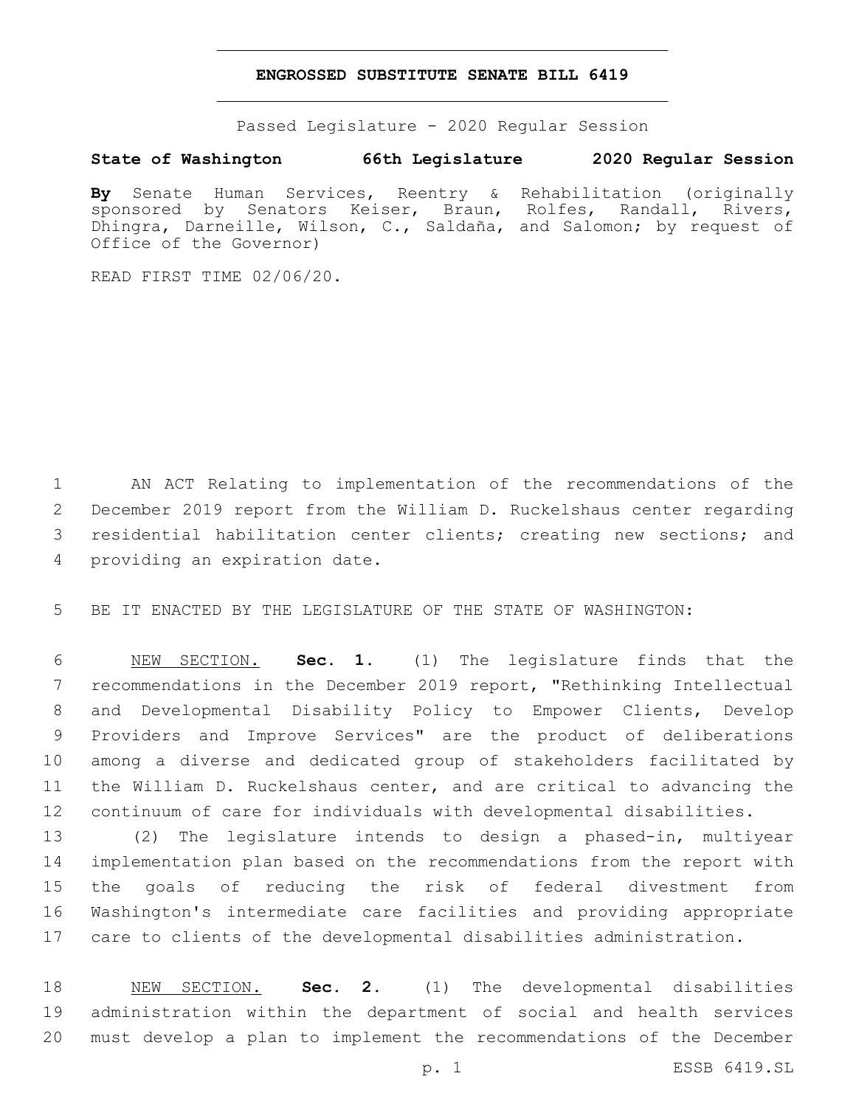#### **ENGROSSED SUBSTITUTE SENATE BILL 6419**

Passed Legislature - 2020 Regular Session

# **State of Washington 66th Legislature 2020 Regular Session**

**By** Senate Human Services, Reentry & Rehabilitation (originally sponsored by Senators Keiser, Braun, Rolfes, Randall, Rivers, Dhingra, Darneille, Wilson, C., Saldaña, and Salomon; by request of Office of the Governor)

READ FIRST TIME 02/06/20.

 AN ACT Relating to implementation of the recommendations of the December 2019 report from the William D. Ruckelshaus center regarding residential habilitation center clients; creating new sections; and 4 providing an expiration date.

BE IT ENACTED BY THE LEGISLATURE OF THE STATE OF WASHINGTON:

 NEW SECTION. **Sec. 1.** (1) The legislature finds that the recommendations in the December 2019 report, "Rethinking Intellectual and Developmental Disability Policy to Empower Clients, Develop Providers and Improve Services" are the product of deliberations among a diverse and dedicated group of stakeholders facilitated by the William D. Ruckelshaus center, and are critical to advancing the continuum of care for individuals with developmental disabilities.

 (2) The legislature intends to design a phased-in, multiyear implementation plan based on the recommendations from the report with the goals of reducing the risk of federal divestment from Washington's intermediate care facilities and providing appropriate care to clients of the developmental disabilities administration.

 NEW SECTION. **Sec. 2.** (1) The developmental disabilities administration within the department of social and health services must develop a plan to implement the recommendations of the December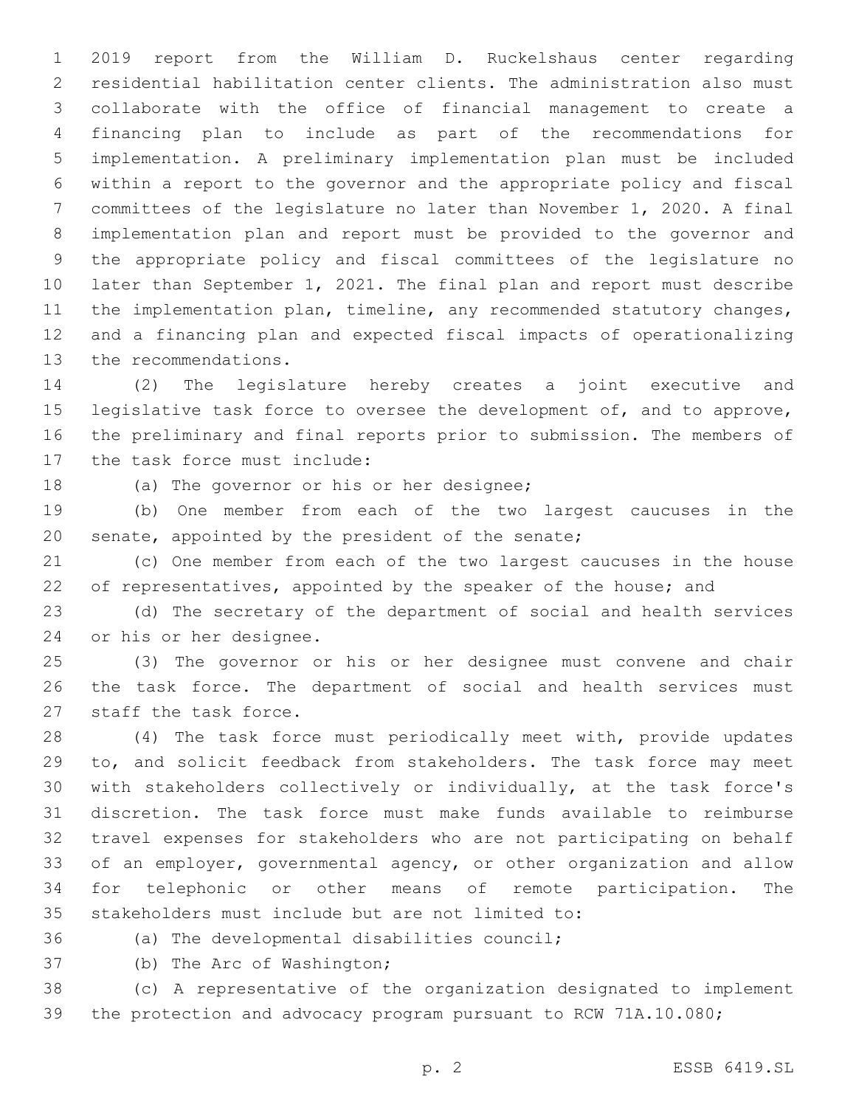2019 report from the William D. Ruckelshaus center regarding residential habilitation center clients. The administration also must collaborate with the office of financial management to create a financing plan to include as part of the recommendations for implementation. A preliminary implementation plan must be included within a report to the governor and the appropriate policy and fiscal committees of the legislature no later than November 1, 2020. A final implementation plan and report must be provided to the governor and the appropriate policy and fiscal committees of the legislature no later than September 1, 2021. The final plan and report must describe the implementation plan, timeline, any recommended statutory changes, and a financing plan and expected fiscal impacts of operationalizing 13 the recommendations.

 (2) The legislature hereby creates a joint executive and 15 legislative task force to oversee the development of, and to approve, the preliminary and final reports prior to submission. The members of 17 the task force must include:

18 (a) The governor or his or her designee;

 (b) One member from each of the two largest caucuses in the 20 senate, appointed by the president of the senate;

 (c) One member from each of the two largest caucuses in the house 22 of representatives, appointed by the speaker of the house; and

 (d) The secretary of the department of social and health services 24 or his or her designee.

 (3) The governor or his or her designee must convene and chair the task force. The department of social and health services must 27 staff the task force.

 (4) The task force must periodically meet with, provide updates to, and solicit feedback from stakeholders. The task force may meet with stakeholders collectively or individually, at the task force's discretion. The task force must make funds available to reimburse travel expenses for stakeholders who are not participating on behalf of an employer, governmental agency, or other organization and allow for telephonic or other means of remote participation. The 35 stakeholders must include but are not limited to:

36 (a) The developmental disabilities council;

37 (b) The Arc of Washington;

 (c) A representative of the organization designated to implement the protection and advocacy program pursuant to RCW 71A.10.080;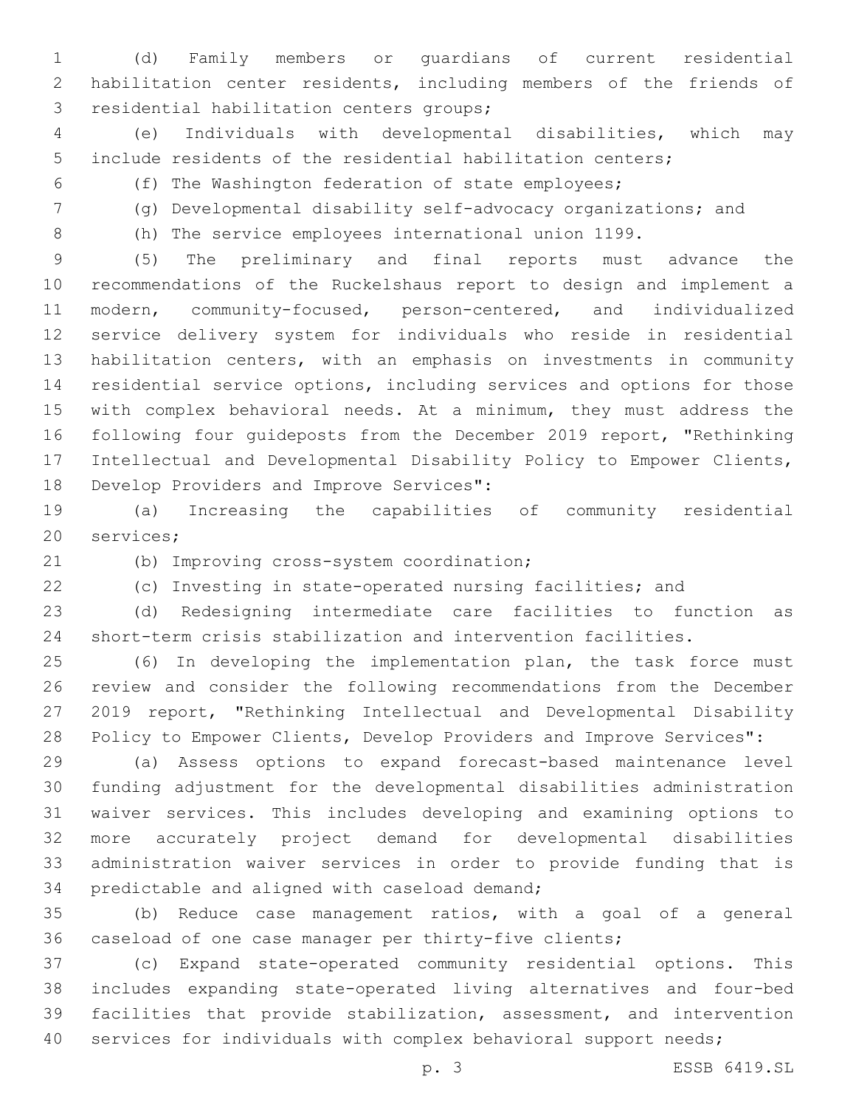(d) Family members or guardians of current residential habilitation center residents, including members of the friends of 3 residential habilitation centers groups;

 (e) Individuals with developmental disabilities, which may include residents of the residential habilitation centers;

- (f) The Washington federation of state employees;
- -

(g) Developmental disability self-advocacy organizations; and

(h) The service employees international union 1199.

 (5) The preliminary and final reports must advance the recommendations of the Ruckelshaus report to design and implement a modern, community-focused, person-centered, and individualized service delivery system for individuals who reside in residential habilitation centers, with an emphasis on investments in community residential service options, including services and options for those with complex behavioral needs. At a minimum, they must address the following four guideposts from the December 2019 report, "Rethinking Intellectual and Developmental Disability Policy to Empower Clients, 18 Develop Providers and Improve Services":

 (a) Increasing the capabilities of community residential 20 services;

(b) Improving cross-system coordination;

(c) Investing in state-operated nursing facilities; and

 (d) Redesigning intermediate care facilities to function as short-term crisis stabilization and intervention facilities.

 (6) In developing the implementation plan, the task force must review and consider the following recommendations from the December 2019 report, "Rethinking Intellectual and Developmental Disability Policy to Empower Clients, Develop Providers and Improve Services":

 (a) Assess options to expand forecast-based maintenance level funding adjustment for the developmental disabilities administration waiver services. This includes developing and examining options to more accurately project demand for developmental disabilities administration waiver services in order to provide funding that is 34 predictable and aligned with caseload demand;

 (b) Reduce case management ratios, with a goal of a general caseload of one case manager per thirty-five clients;

 (c) Expand state-operated community residential options. This includes expanding state-operated living alternatives and four-bed facilities that provide stabilization, assessment, and intervention 40 services for individuals with complex behavioral support needs;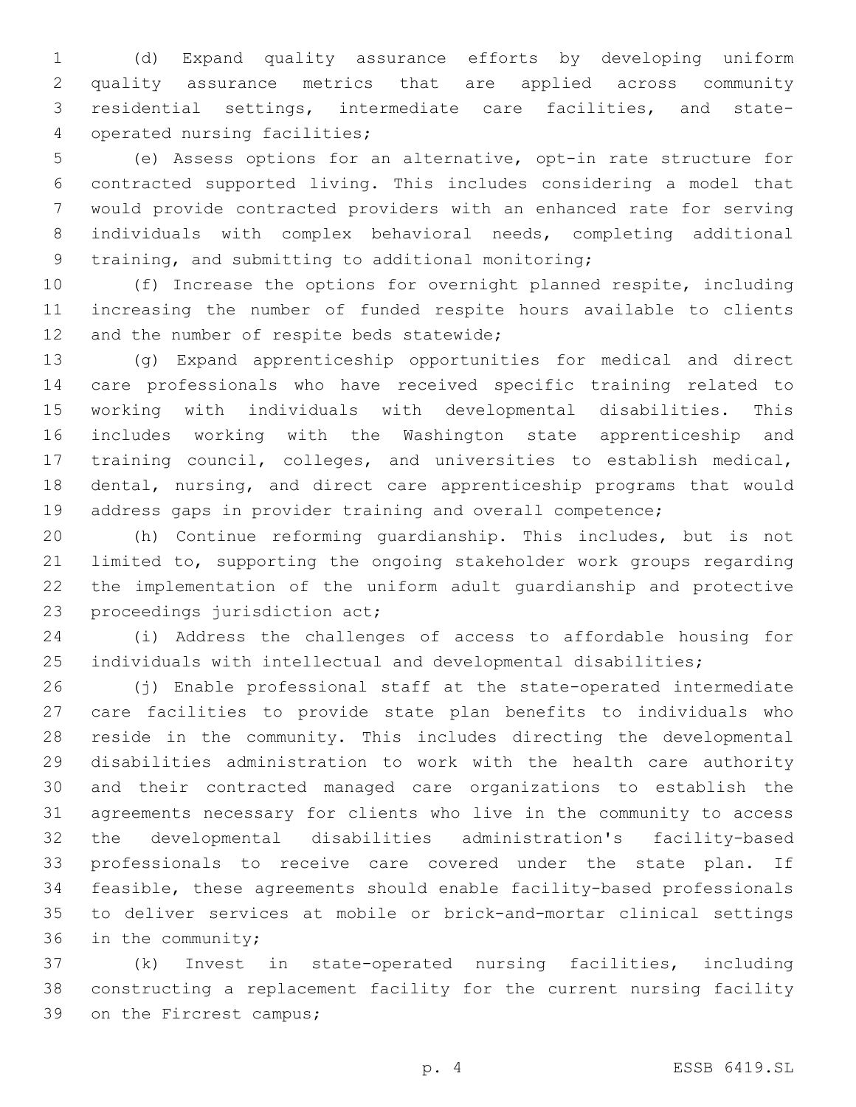(d) Expand quality assurance efforts by developing uniform quality assurance metrics that are applied across community residential settings, intermediate care facilities, and state-4 operated nursing facilities;

 (e) Assess options for an alternative, opt-in rate structure for contracted supported living. This includes considering a model that would provide contracted providers with an enhanced rate for serving individuals with complex behavioral needs, completing additional 9 training, and submitting to additional monitoring;

 (f) Increase the options for overnight planned respite, including increasing the number of funded respite hours available to clients 12 and the number of respite beds statewide;

 (g) Expand apprenticeship opportunities for medical and direct care professionals who have received specific training related to working with individuals with developmental disabilities. This includes working with the Washington state apprenticeship and training council, colleges, and universities to establish medical, dental, nursing, and direct care apprenticeship programs that would address gaps in provider training and overall competence;

 (h) Continue reforming guardianship. This includes, but is not limited to, supporting the ongoing stakeholder work groups regarding the implementation of the uniform adult guardianship and protective 23 proceedings jurisdiction act;

 (i) Address the challenges of access to affordable housing for individuals with intellectual and developmental disabilities;

 (j) Enable professional staff at the state-operated intermediate care facilities to provide state plan benefits to individuals who reside in the community. This includes directing the developmental disabilities administration to work with the health care authority and their contracted managed care organizations to establish the agreements necessary for clients who live in the community to access the developmental disabilities administration's facility-based professionals to receive care covered under the state plan. If feasible, these agreements should enable facility-based professionals to deliver services at mobile or brick-and-mortar clinical settings 36 in the community;

 (k) Invest in state-operated nursing facilities, including constructing a replacement facility for the current nursing facility 39 on the Fircrest campus;